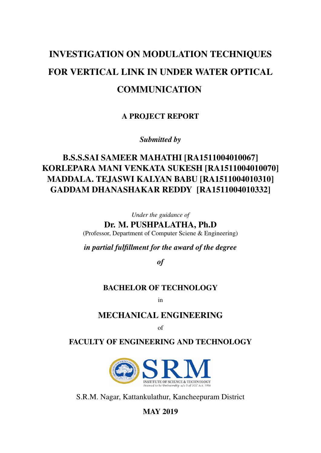# INVESTIGATION ON MODULATION TECHNIQUES FOR VERTICAL LINK IN UNDER WATER OPTICAL **COMMUNICATION**

A PROJECT REPORT

*Submitted by*

### B.S.S.SAI SAMEER MAHATHI [RA1511004010067] KORLEPARA MANI VENKATA SUKESH [RA1511004010070] MADDALA. TEJASWI KALYAN BABU [RA1511004010310] GADDAM DHANASHAKAR REDDY [RA1511004010332]

*Under the guidance of*

Dr. M. PUSHPALATHA, Ph.D (Professor, Department of Computer Sciene & Engineering)

*in partial fulfillment for the award of the degree*

*of*

#### BACHELOR OF TECHNOLOGY

in

#### MECHANICAL ENGINEERING

of

#### FACULTY OF ENGINEERING AND TECHNOLOGY



S.R.M. Nagar, Kattankulathur, Kancheepuram District

MAY 2019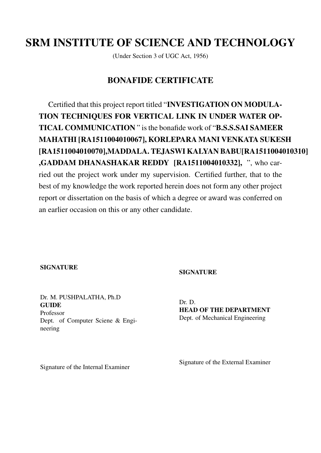## SRM INSTITUTE OF SCIENCE AND TECHNOLOGY

(Under Section 3 of UGC Act, 1956)

#### BONAFIDE CERTIFICATE

Certified that this project report titled "INVESTIGATION ON MODULA-TION TECHNIQUES FOR VERTICAL LINK IN UNDER WATER OP-TICAL COMMUNICATION " is the bonafide work of "B.S.S.SAI SAMEER MAHATHI [RA1511004010067], KORLEPARA MANI VENKATA SUKESH [RA1511004010070],MADDALA. TEJASWI KALYAN BABU[RA1511004010310] ,GADDAM DHANASHAKAR REDDY [RA1511004010332], ", who carried out the project work under my supervision. Certified further, that to the best of my knowledge the work reported herein does not form any other project report or dissertation on the basis of which a degree or award was conferred on an earlier occasion on this or any other candidate.

#### **SIGNATURE**

#### **SIGNATURE**

Dr. M. PUSHPALATHA, Ph.D **GUIDE** Professor Dept. of Computer Sciene & Engineering

Dr. D. HEAD OF THE DEPARTMENT Dept. of Mechanical Engineering

Signature of the External Examiner

Signature of the Internal Examiner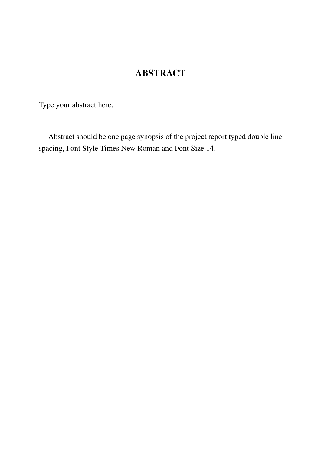## **ABSTRACT**

<span id="page-2-0"></span>Type your abstract here.

Abstract should be one page synopsis of the project report typed double line spacing, Font Style Times New Roman and Font Size 14.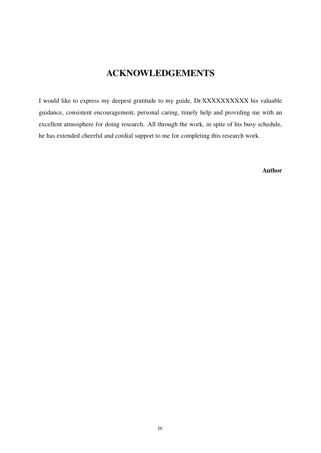### ACKNOWLEDGEMENTS

<span id="page-3-0"></span>I would like to express my deepest gratitude to my guide, Dr.XXXXXXXXXX his valuable guidance, consistent encouragement, personal caring, timely help and providing me with an excellent atmosphere for doing research. All through the work, in spite of his busy schedule, he has extended cheerful and cordial support to me for completing this research work.

Author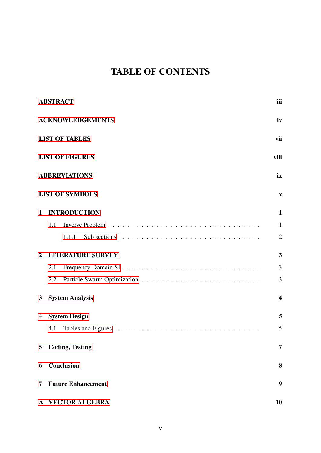## TABLE OF CONTENTS

|                | <b>ABSTRACT</b>                                                                               | iii                     |
|----------------|-----------------------------------------------------------------------------------------------|-------------------------|
|                | <b>ACKNOWLEDGEMENTS</b>                                                                       | iv                      |
|                | <b>LIST OF TABLES</b>                                                                         | vii                     |
|                | <b>LIST OF FIGURES</b>                                                                        | viii                    |
|                | <b>ABBREVIATIONS</b>                                                                          | ix                      |
|                | <b>LIST OF SYMBOLS</b>                                                                        | $\mathbf X$             |
| $\mathbf{1}$   | <b>INTRODUCTION</b>                                                                           | $\mathbf{1}$            |
|                | 1.1                                                                                           | $\mathbf{1}$            |
|                | Sub sections $\ldots \ldots \ldots \ldots \ldots \ldots \ldots \ldots \ldots \ldots$<br>1.1.1 | $\overline{2}$          |
| $\overline{2}$ | <b>LITERATURE SURVEY</b>                                                                      | 3                       |
|                | 2.1                                                                                           | 3                       |
|                | 2.2                                                                                           | 3                       |
| $\mathbf{3}$   | <b>System Analysis</b>                                                                        | $\overline{\mathbf{4}}$ |
| 4              | <b>System Design</b>                                                                          | 5                       |
|                | 4.1                                                                                           | 5                       |
| 5              | <b>Coding, Testing</b>                                                                        | 7                       |
| 6              | <b>Conclusion</b>                                                                             | 8                       |
| 7              | <b>Future Enhancement</b>                                                                     | 9                       |
|                | A VECTOR ALGEBRA                                                                              | 10                      |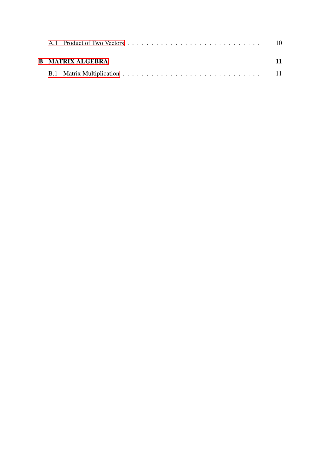| <b>B</b> MATRIX ALGEBRA | 11 |
|-------------------------|----|
|                         |    |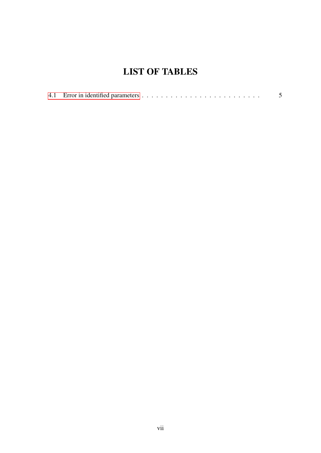## LIST OF TABLES

<span id="page-6-0"></span>

|--|--|--|--|--|--|--|--|--|--|--|--|--|--|--|--|--|--|--|--|--|--|--|--|--|--|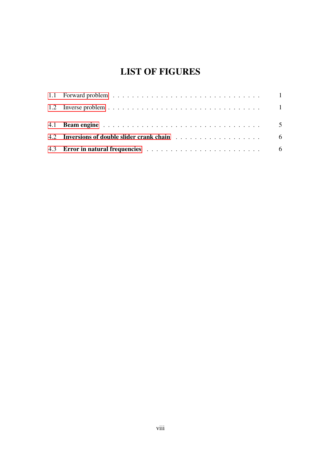## LIST OF FIGURES

<span id="page-7-0"></span>

| 4.2 Inversions of double slider crank chain enterpreteration of the state of the state of the state of the state of the state of the state of the state of the state of the state of the state of the state of the state of th |  |
|--------------------------------------------------------------------------------------------------------------------------------------------------------------------------------------------------------------------------------|--|
|                                                                                                                                                                                                                                |  |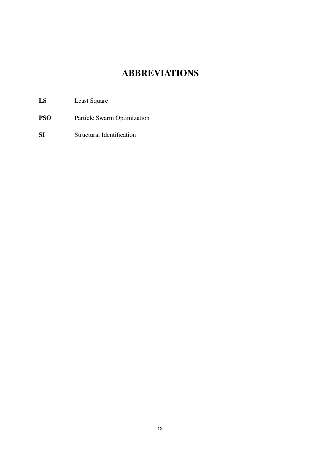## ABBREVIATIONS

- <span id="page-8-2"></span><span id="page-8-0"></span>LS Least Square
- <span id="page-8-3"></span>PSO Particle Swarm Optimization
- <span id="page-8-1"></span>SI Structural Identification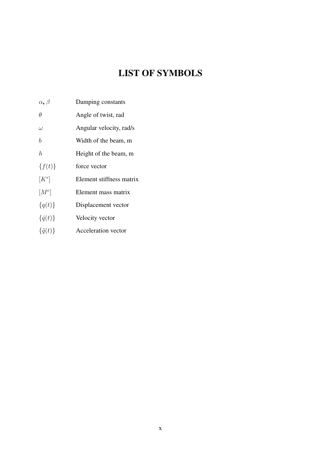## LIST OF SYMBOLS

- <span id="page-9-0"></span> $\alpha$ ,  $\beta$  Damping constants
- $\theta$  Angle of twist, rad
- $\omega$  Angular velocity, rad/s
- b Width of the beam, m
- h Height of the beam, m
- ${f(t)}$  force vector
- $[K^e]$ ] Element stiffness matrix
- $[M^e]$ ] Element mass matrix
- ${q(t)}$  Displacement vector
- $\{\dot{q}(t)\}$  Velocity vector
- $\{\ddot{q}(t)\}$  Acceleration vector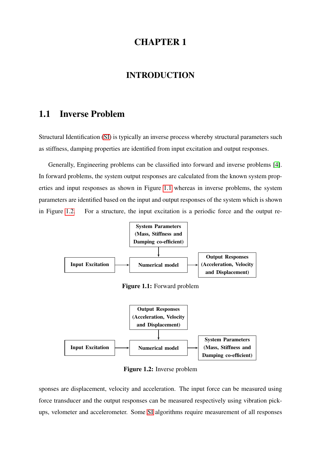#### INTRODUCTION

#### <span id="page-10-1"></span><span id="page-10-0"></span>1.1 Inverse Problem

Structural Identification [\(SI\)](#page-8-1) is typically an inverse process whereby structural parameters such as stiffness, damping properties are identified from input excitation and output responses.

Generally, Engineering problems can be classified into forward and inverse problems [\[4\]](#page-21-0). In forward problems, the system output responses are calculated from the known system properties and input responses as shown in Figure [1.1](#page-10-2) whereas in inverse problems, the system parameters are identified based on the input and output responses of the system which is shown in Figure [1.2.](#page-10-3) For a structure, the input excitation is a periodic force and the output re-

<span id="page-10-2"></span>

Figure 1.1: Forward problem

<span id="page-10-3"></span>

Figure 1.2: Inverse problem

sponses are displacement, velocity and acceleration. The input force can be measured using force transducer and the output responses can be measured respectively using vibration pickups, velometer and accelerometer. Some [SI](#page-8-1) algorithms require measurement of all responses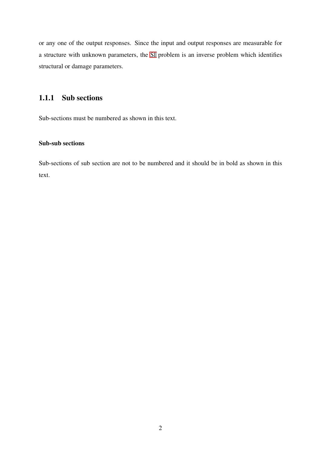or any one of the output responses. Since the input and output responses are measurable for a structure with unknown parameters, the [SI](#page-8-1) problem is an inverse problem which identifies structural or damage parameters.

#### <span id="page-11-0"></span>1.1.1 Sub sections

Sub-sections must be numbered as shown in this text.

#### Sub-sub sections

Sub-sections of sub section are not to be numbered and it should be in bold as shown in this text.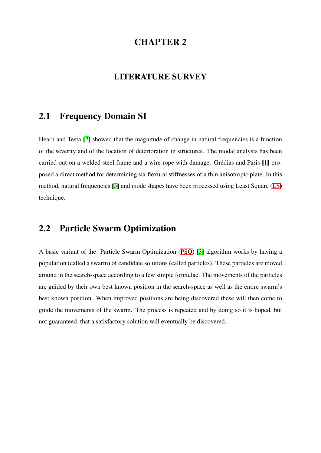#### LITERATURE SURVEY

#### <span id="page-12-1"></span><span id="page-12-0"></span>2.1 Frequency Domain SI

Hearn and Testa [\[2\]](#page-21-1) showed that the magnitude of change in natural frequencies is a function of the severity and of the location of deterioration in structures. The modal analysis has been carried out on a welded steel frame and a wire rope with damage. Grédias and Paris [\[1\]](#page-21-2) proposed a direct method for determining six flexural stiffnesses of a thin anisotropic plate. In this method, natural frequencies [\[5\]](#page-21-3) and mode shapes have been processed using Least Square [\(LS\)](#page-8-2) technique.

### <span id="page-12-2"></span>2.2 Particle Swarm Optimization

A basic variant of the Particle Swarm Optimization [\(PSO\)](#page-8-3) [\[3\]](#page-21-4) algorithm works by having a population (called a swarm) of candidate solutions (called particles). These particles are moved around in the search-space according to a few simple formulae. The movements of the particles are guided by their own best known position in the search-space as well as the entire swarm's best known position. When improved positions are being discovered these will then come to guide the movements of the swarm. The process is repeated and by doing so it is hoped, but not guaranteed, that a satisfactory solution will eventually be discovered.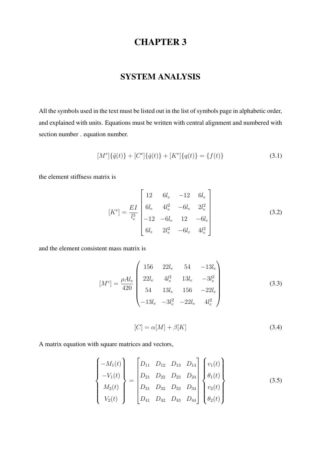### SYSTEM ANALYSIS

<span id="page-13-0"></span>All the symbols used in the text must be listed out in the list of symbols page in alphabetic order, and explained with units. Equations must be written with central alignment and numbered with section number . equation number.

$$
[Me]{\dot{q}(t)} + [Ce]{\dot{q}(t)} + [Ke]{q(t)} = {f(t)}
$$
\n(3.1)

the element stiffness matrix is

$$
[K^{e}] = \frac{EI}{l_e^3} \begin{bmatrix} 12 & 6l_e & -12 & 6l_e \\ 6l_e & 4l_e^2 & -6l_e & 2l_e^2 \\ -12 & -6l_e & 12 & -6l_e \\ 6l_e & 2l_e^2 & -6l_e & 4l_e^2 \end{bmatrix}
$$
(3.2)

and the element consistent mass matrix is

$$
[M^{e}] = \frac{\rho A l_e}{420} \begin{pmatrix} 156 & 22l_e & 54 & -13l_e \\ 22l_e & 4l_e^2 & 13l_e & -3l_e^2 \\ 54 & 13l_e & 156 & -22l_e \\ -13l_e & -3l_e^2 & -22l_e & 4l_e^2 \end{pmatrix}
$$
(3.3)

$$
[C] = \alpha[M] + \beta[K] \tag{3.4}
$$

A matrix equation with square matrices and vectors,

$$
\begin{Bmatrix}\n-M_1(t) \\
-V_1(t) \\
M_2(t) \\
V_2(t)\n\end{Bmatrix} = \begin{bmatrix}\nD_{11} & D_{12} & D_{13} & D_{14} \\
D_{21} & D_{22} & D_{23} & D_{24} \\
D_{31} & D_{32} & D_{33} & D_{34} \\
D_{41} & D_{42} & D_{43} & D_{44}\n\end{bmatrix} \begin{Bmatrix}\nv_1(t) \\
\theta_1(t) \\
v_2(t) \\
\theta_2(t)\n\end{Bmatrix}
$$
\n(3.5)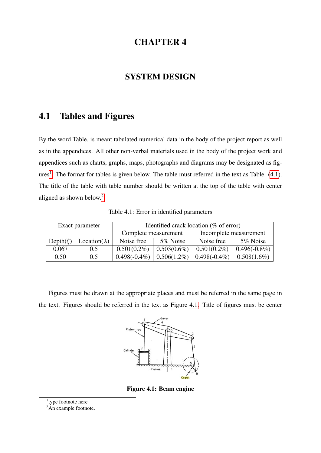#### SYSTEM DESIGN

### <span id="page-14-1"></span><span id="page-14-0"></span>4.1 Tables and Figures

By the word Table, is meant tabulated numerical data in the body of the project report as well as in the appendices. All other non-verbal materials used in the body of the project work and appendices such as charts, graphs, maps, photographs and diagrams may be designated as fig- $ures<sup>1</sup>$  $ures<sup>1</sup>$  $ures<sup>1</sup>$ . The format for tables is given below. The table must referred in the text as Table. [\(4.1\)](#page-14-2). The title of the table with table number should be written at the top of the table with center aligned as shown below.[2](#page-14-5) .

<span id="page-14-2"></span>

|              | Exact parameter       | Identified crack location (% of error) |                |                        |                 |  |  |  |  |  |  |
|--------------|-----------------------|----------------------------------------|----------------|------------------------|-----------------|--|--|--|--|--|--|
|              |                       | Complete measurement                   |                | Incomplete measurement |                 |  |  |  |  |  |  |
| $Depth(\xi)$ | Location( $\lambda$ ) | Noise free                             | 5% Noise       | Noise free             | 5% Noise        |  |  |  |  |  |  |
| 0.067        | 0.5                   | $0.501(0.2\%)$                         | $0.503(0.6\%)$ | $0.501(0.2\%)$         | $0.496(-0.8\%)$ |  |  |  |  |  |  |
| 0.50         | 0.5                   | $0.498(-0.4\%)$                        | $0.506(1.2\%)$ | $0.498(-0.4\%)$        | $0.508(1.6\%)$  |  |  |  |  |  |  |

<span id="page-14-3"></span>Figures must be drawn at the appropriate places and must be referred in the same page in the text. Figures should be referred in the text as Figure [4.1.](#page-14-3) Title of figures must be center



Figure 4.1: Beam engine

<span id="page-14-4"></span><sup>&</sup>lt;sup>1</sup>type footnote here

<span id="page-14-5"></span><sup>&</sup>lt;sup>2</sup>An example footnote.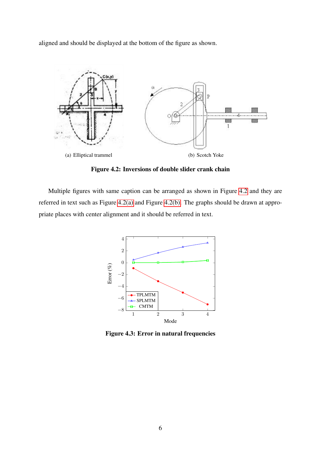aligned and should be displayed at the bottom of the figure as shown.

<span id="page-15-2"></span><span id="page-15-0"></span>

<span id="page-15-3"></span>Figure 4.2: Inversions of double slider crank chain

<span id="page-15-1"></span>Multiple figures with same caption can be arranged as shown in Figure [4.2](#page-15-0) and they are referred in text such as Figure [4.2\(a\)](#page-15-2) and Figure [4.2\(b\).](#page-15-3) The graphs should be drawn at appropriate places with center alignment and it should be referred in text.



Figure 4.3: Error in natural frequencies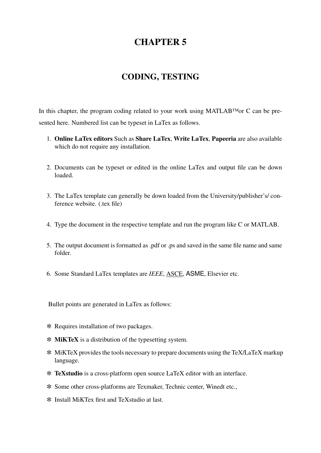#### CODING, TESTING

<span id="page-16-0"></span>In this chapter, the program coding related to your work using MATLAB™or C can be presented here. Numbered list can be typeset in LaTex as follows.

- 1. Online LaTex editors Such as Share LaTex, Write LaTex, Papeeria are also available which do not require any installation.
- 2. Documents can be typeset or edited in the online LaTex and output file can be down loaded.
- 3. The LaTex template can generally be down loaded from the University/publisher's/ conference website. (.tex file)
- 4. Type the document in the respective template and run the program like C or MATLAB.
- 5. The output document is formatted as .pdf or .ps and saved in the same file name and same folder.
- 6. Some Standard LaTex templates are *IEEE*, ASCE, ASME, Elsevier etc.

Bullet points are generated in LaTex as follows:

- ✼ Requires installation of two packages.
- ✼ MiKTeX is a distribution of the typesetting system.
- ✼ MiKTeX provides the tools necessary to prepare documents using the TeX/LaTeX markup language.
- ✼ TeXstudio is a cross-platform open source LaTeX editor with an interface.
- ✼ Some other cross-platforms are Texmaker, Technic center, Winedt etc.,
- ✼ Install MiKTex first and TeXstudio at last.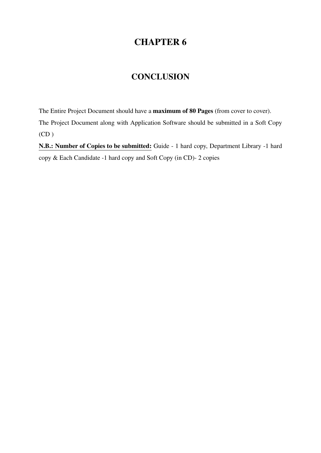#### **CONCLUSION**

<span id="page-17-0"></span>The Entire Project Document should have a maximum of 80 Pages (from cover to cover). The Project Document along with Application Software should be submitted in a Soft Copy  $(CD)$ 

N.B.: Number of Copies to be submitted: Guide - 1 hard copy, Department Library -1 hard copy & Each Candidate -1 hard copy and Soft Copy (in CD)- 2 copies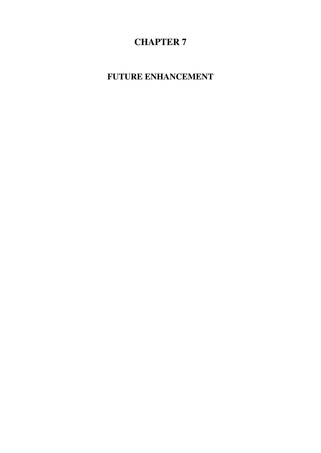<span id="page-18-0"></span>FUTURE ENHANCEMENT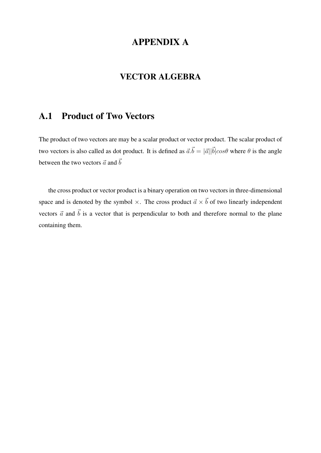### APPENDIX A

#### VECTOR ALGEBRA

#### <span id="page-19-1"></span><span id="page-19-0"></span>A.1 Product of Two Vectors

The product of two vectors are may be a scalar product or vector product. The scalar product of two vectors is also called as dot product. It is defined as  $\vec{a} \cdot \vec{b} = |\vec{a}| |\vec{b}| \cos\theta$  where  $\theta$  is the angle between the two vectors  $\vec{a}$  and  $\vec{b}$ 

the cross product or vector product is a binary operation on two vectors in three-dimensional space and is denoted by the symbol  $\times$ . The cross product  $\vec{a} \times \vec{b}$  of two linearly independent vectors  $\vec{a}$  and  $\vec{b}$  is a vector that is perpendicular to both and therefore normal to the plane containing them.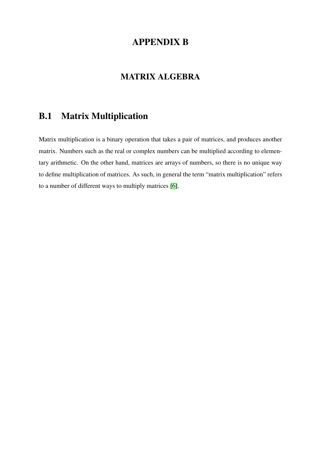### APPENDIX B

### MATRIX ALGEBRA

### <span id="page-20-1"></span><span id="page-20-0"></span>B.1 Matrix Multiplication

Matrix multiplication is a binary operation that takes a pair of matrices, and produces another matrix. Numbers such as the real or complex numbers can be multiplied according to elementary arithmetic. On the other hand, matrices are arrays of numbers, so there is no unique way to define multiplication of matrices. As such, in general the term "matrix multiplication" refers to a number of different ways to multiply matrices [\[6\]](#page-21-5).